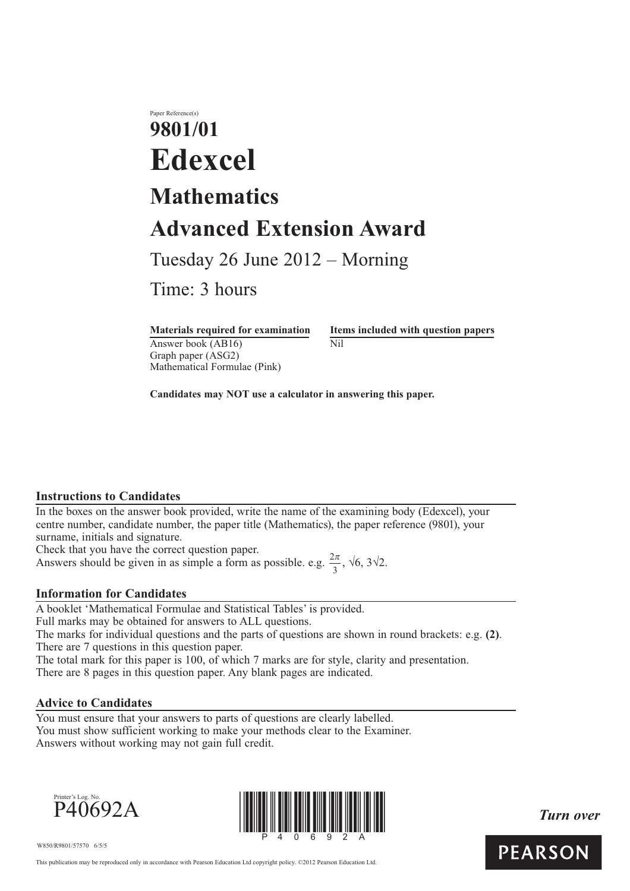# Paper Reference(s) **9801/01 Edexcel Mathematics Advanced Extension Award**

Tuesday 26 June 2012 – Morning

Time: 3 hours

Answer book (AB16) Nil Graph paper (ASG2) Mathematical Formulae (Pink)

**Materials required for examination Items included with question papers**

**Candidates may NOT use a calculator in answering this paper.**

# **Instructions to Candidates**

In the boxes on the answer book provided, write the name of the examining body (Edexcel), your centre number, candidate number, the paper title (Mathematics), the paper reference (9801), your surname, initials and signature.

Check that you have the correct question paper.

Answers should be given in as simple a form as possible. e.g.  $\frac{2\pi}{3}$ ,  $\sqrt{6}$ ,  $3\sqrt{2}$ .

# **Information for Candidates**

A booklet 'Mathematical Formulae and Statistical Tables' is provided. Full marks may be obtained for answers to ALL questions.

The marks for individual questions and the parts of questions are shown in round brackets: e.g. **(2)**. There are 7 questions in this question paper.

The total mark for this paper is 100, of which 7 marks are for style, clarity and presentation.

There are 8 pages in this question paper. Any blank pages are indicated.

# **Advice to Candidates**

You must ensure that your answers to parts of questions are clearly labelled. You must show sufficient working to make your methods clear to the Examiner. Answers without working may not gain full credit.





*Turn over*



W850/R9801/57570 6/5/5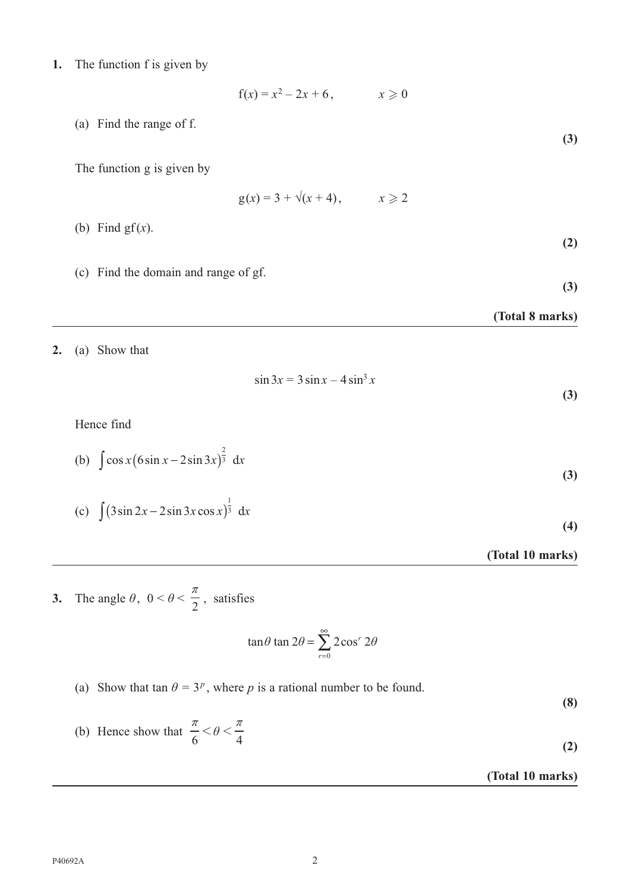**1.** The function f is given by

| $f(x) = x^2 - 2x + 6$ , | $x \geqslant 0$ |
|-------------------------|-----------------|
|                         |                 |

- (a) Find the range of f. **(3)** The function g is given by  $g(x) = 3 + \sqrt{x + 4}$ ,  $x \ge 2$ (b) Find  $gf(x)$ . **(2)** (c) Find the domain and range of gf. **(3) (Total 8 marks) 2.** (a) Show that  $\sin 3x = 3 \sin x - 4 \sin^3 x$ **(3)** Hence find (b)  $\int \cos x (6 \sin x - 2 \sin 3x)^{\frac{2}{3}} dx$ **(3)**
	- (c)  $\int (3\sin 2x 2\sin 3x\cos x)^{\frac{1}{3}} dx$

**(Total 10 marks)**

**(4)**

**(8)**

**3.** The angle  $\theta$ ,  $0 < \theta < \frac{\pi}{2}$ , satisfies

$$
\tan \theta \tan 2\theta = \sum_{r=0}^{\infty} 2\cos^r 2\theta
$$

- (a) Show that tan  $\theta = 3^p$ , where *p* is a rational number to be found.
- (b) Hence show that  $\frac{\pi}{6} < \theta < \frac{\pi}{4}$  $6 \t 4$  $< \theta <$ **(2)**

# **(Total 10 marks)**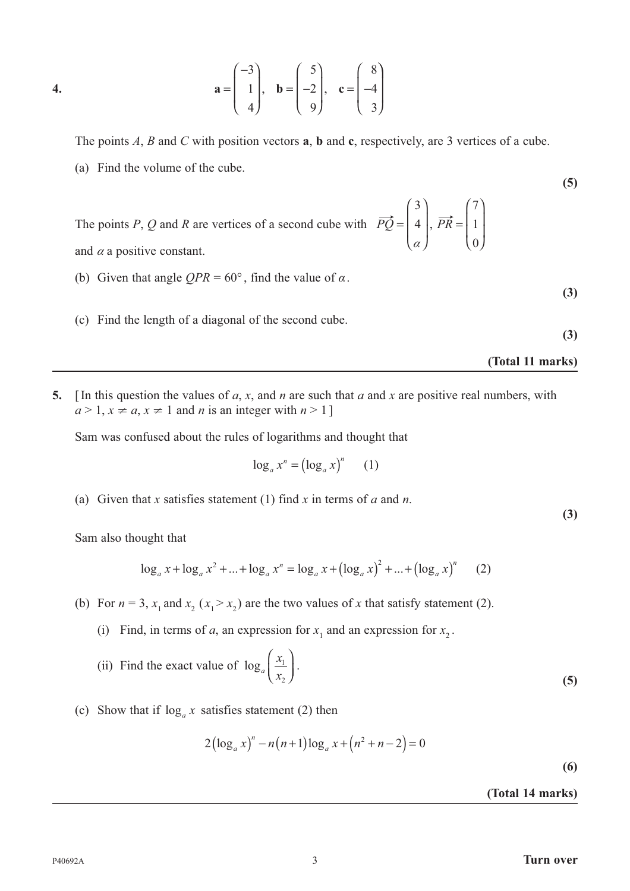$$
\mathbf{a} = \begin{pmatrix} -3 \\ 1 \\ 4 \end{pmatrix}, \quad \mathbf{b} = \begin{pmatrix} 5 \\ -2 \\ 9 \end{pmatrix}, \quad \mathbf{c} = \begin{pmatrix} 8 \\ -4 \\ 3 \end{pmatrix}
$$

The points *A*, *B* and *C* with position vectors **a**, **b** and **c**, respectively, are 3 vertices of a cube.

(a) Find the volume of the cube.

The points *P*, *Q* and *R* are vertices of a second cube with  $\overrightarrow{PQ} = |4|$ ,  $\overrightarrow{PR}$  $\sqrt{}$ ⎝  $\mathsf I$ ⎜  $\overline{a}$ ⎠  $\frac{\overrightarrow{PR}}{P}$  $\sqrt{}$ ⎝  $\mathsf I$  $\mathsf I$ 3 4 7 1 *α* ) (0 , and  $\alpha$  a positive constant.

- (b) Given that angle  $QPR = 60^{\circ}$ , find the value of  $\alpha$ .
- (c) Find the length of a diagonal of the second cube.

**(3)**

**(3)**

**(3)**

**(5)**

**(Total 11 marks)**

 $\lambda$ 

⎟ ⎟

 $\overline{a}$ 

**5.** [ In this question the values of *a*, *x*, and *n* are such that *a* and *x* are positive real numbers, with  $a > 1, x \neq a, x \neq 1$  and *n* is an integer with  $n > 1$ 

Sam was confused about the rules of logarithms and thought that

$$
\log_a x^n = (\log_a x)^n \qquad (1)
$$

(a) Given that *x* satisfies statement (1) find *x* in terms of *a* and *n*.

Sam also thought that

$$
\log_a x + \log_a x^2 + \dots + \log_a x^n = \log_a x + (\log_a x)^2 + \dots + (\log_a x)^n \tag{2}
$$

(b) For  $n = 3$ ,  $x_1$  and  $x_2$  ( $x_1 > x_2$ ) are the two values of *x* that satisfy statement (2).

(i) Find, in terms of *a*, an expression for  $x_1$  and an expression for  $x_2$ .

(ii) Find the exact value of 
$$
\log_a\left(\frac{x_1}{x_2}\right)
$$
. (5)

(c) Show that if  $\log_a x$  satisfies statement (2) then

$$
2(\log_a x)^n - n(n+1)\log_a x + (n^2 + n - 2) = 0
$$

**(6)**

#### **(Total 14 marks)**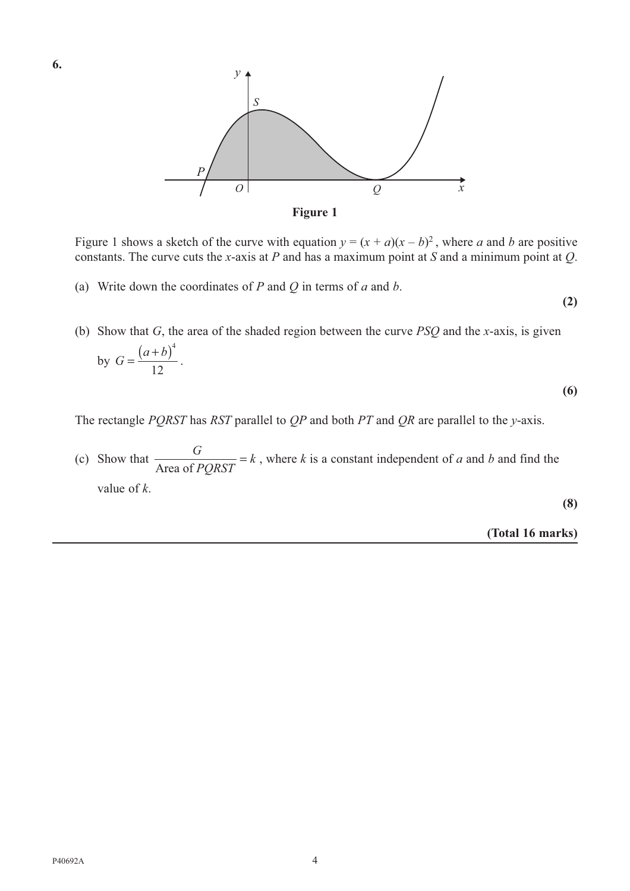

Figure 1 shows a sketch of the curve with equation  $y = (x + a)(x - b)^2$ , where *a* and *b* are positive constants. The curve cuts the *x*-axis at *P* and has a maximum point at *S* and a minimum point at *Q*.

- (a) Write down the coordinates of *P* and *Q* in terms of *a* and *b*.
- (b) Show that *G*, the area of the shaded region between the curve *PSQ* and the *x*-axis, is given

by 
$$
G = \frac{(a+b)^4}{12}.
$$

The rectangle *PQRST* has *RST* parallel to *QP* and both *PT* and *QR* are parallel to the *y*-axis.

(c) Show that  $\frac{ }{\text{Area of}}$  $\frac{G}{PORST} = k$ , where *k* is a constant independent of *a* and *b* and find the value of *k*.

**(8)**

**(2)**

**(6)**

**(Total 16 marks)**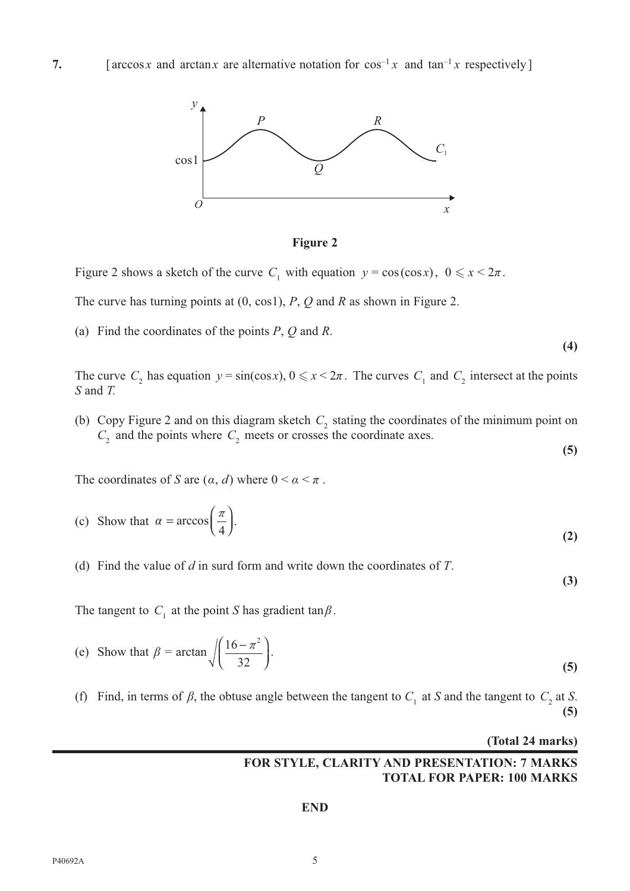



Figure 2 shows a sketch of the curve  $C_1$  with equation  $y = cos(cos x)$ ,  $0 \le x < 2\pi$ .

The curve has turning points at (0, cos1), *P*, *Q* and *R* as shown in Figure 2.

(a) Find the coordinates of the points *P*, *Q* and *R*.

The curve  $C_2$  has equation  $y = \sin(\cos x)$ ,  $0 \le x < 2\pi$ . The curves  $C_1$  and  $C_2$  intersect at the points *S* and *T.*

(b) Copy Figure 2 and on this diagram sketch  $C_2$  stating the coordinates of the minimum point on  $C_2$  and the points where  $C_2$  meets or crosses the coordinate axes.

**(5)**

**(4)**

The coordinates of *S* are  $(\alpha, d)$  where  $0 \leq \alpha \leq \pi$ .

- (c) Show that  $\alpha = \arccos\left(\frac{\pi}{4}\right)$ . **(2)**
	- (d) Find the value of *d* in surd form and write down the coordinates of *T* .

**(3)**

The tangent to  $C_1$  at the point *S* has gradient tan $\beta$ .

(e) Show that 
$$
\beta = \arctan\sqrt{\left(\frac{16 - \pi^2}{32}\right)}
$$
. (5)

(f) Find, in terms of  $\beta$ , the obtuse angle between the tangent to  $C_1$  at *S* and the tangent to  $C_2$  at *S*. **(5)**

#### **(Total 24 marks)**

# **FOR STYLE, CLARITY AND PRESENTATION: 7 MARKS TOTAL FOR PAPER: 100 MARKS**

#### **END**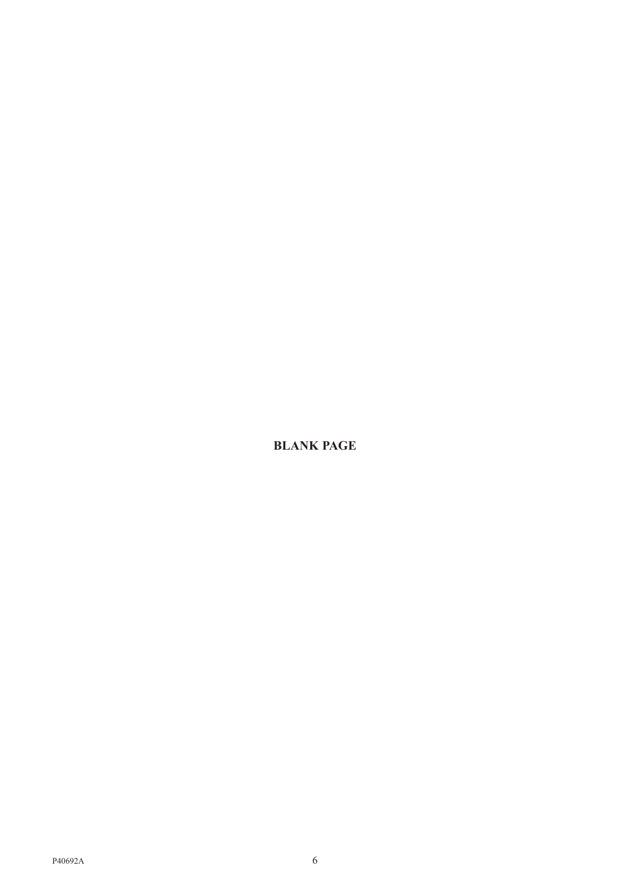**BLANK PAGE**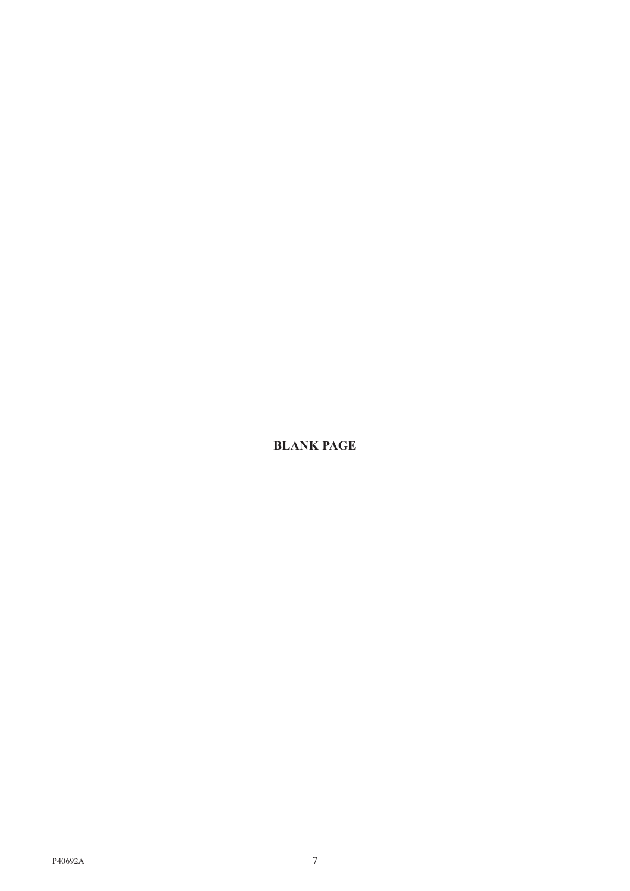**BLANK PAGE**